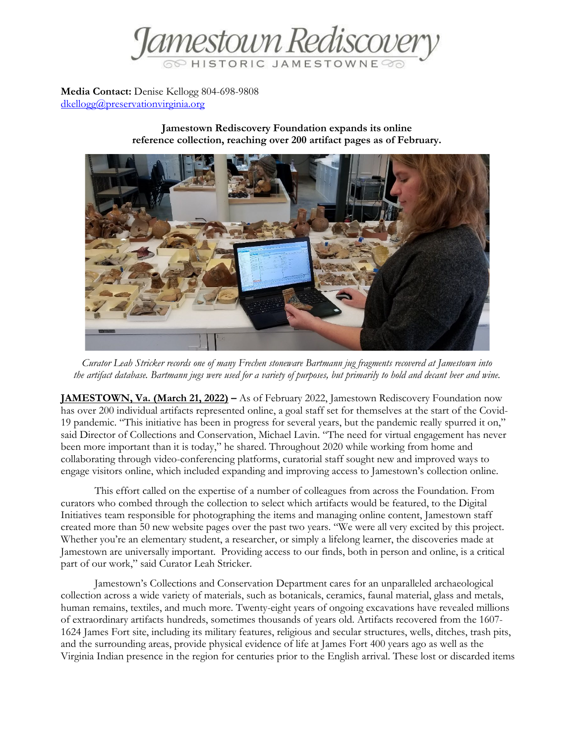

**Media Contact:** Denise Kellogg 804-698-9808 [dkellogg@preservationvirginia.org](mailto:dkellogg@preservationvirginia.org)

> **Jamestown Rediscovery Foundation expands its online reference collection, reaching over 200 artifact pages as of February.**



*Curator Leah Stricker records one of many Frechen stoneware Bartmann jug fragments recovered at Jamestown into the artifact database. Bartmann jugs were used for a variety of purposes, but primarily to hold and decant beer and wine.*

**JAMESTOWN, Va. (March 21, 2022) –** As of February 2022, Jamestown Rediscovery Foundation now has over 200 individual artifacts represented online, a goal staff set for themselves at the start of the Covid-19 pandemic. "This initiative has been in progress for several years, but the pandemic really spurred it on," said Director of Collections and Conservation, Michael Lavin. "The need for virtual engagement has never been more important than it is today," he shared. Throughout 2020 while working from home and collaborating through video-conferencing platforms, curatorial staff sought new and improved ways to engage visitors online, which included expanding and improving access to Jamestown's collection online.

This effort called on the expertise of a number of colleagues from across the Foundation. From curators who combed through the collection to select which artifacts would be featured, to the Digital Initiatives team responsible for photographing the items and managing online content, Jamestown staff created more than 50 new website pages over the past two years. "We were all very excited by this project. Whether you're an elementary student, a researcher, or simply a lifelong learner, the discoveries made at Jamestown are universally important. Providing access to our finds, both in person and online, is a critical part of our work," said Curator Leah Stricker.

Jamestown's Collections and Conservation Department cares for an unparalleled archaeological collection across a wide variety of materials, such as botanicals, ceramics, faunal material, glass and metals, human remains, textiles, and much more. Twenty-eight years of ongoing excavations have revealed millions of extraordinary artifacts hundreds, sometimes thousands of years old. Artifacts recovered from the 1607- 1624 James Fort site, including its military features, religious and secular structures, wells, ditches, trash pits, and the surrounding areas, provide physical evidence of life at James Fort 400 years ago as well as the Virginia Indian presence in the region for centuries prior to the English arrival. These lost or discarded items